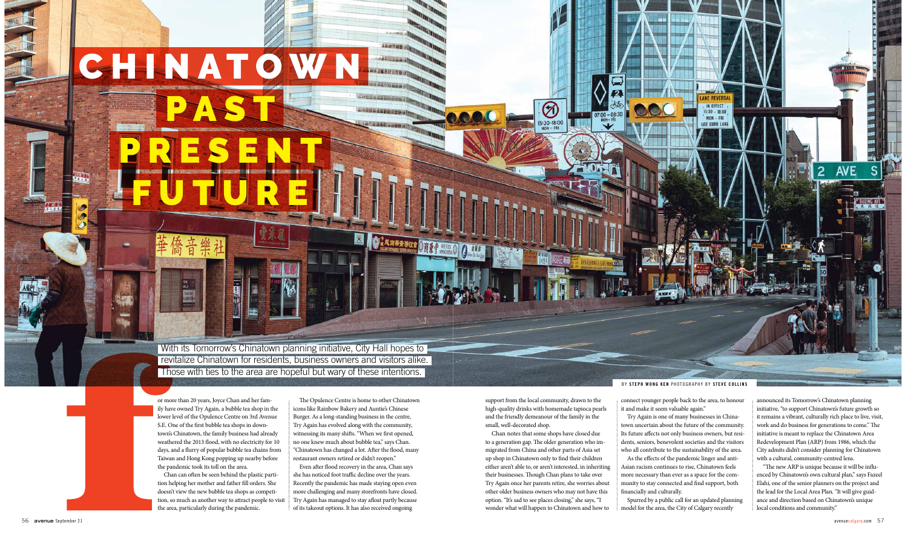

## **CHINATOW**

PAST

PRESENT

FUTURE

or more than 20 years, Joyce Chan and her family have owned Try Again, a bubble tea shop in the lower level of the Opulence Centre on 3rd Avenue S.E. One of the first bubble tea shops in downtown's Chinatown, the family business had already weathered the 2013 flood, with no electricity for 10 days, and a flurry of popular bubble tea chains from Taiwan and Hong Kong popping up nearby before the pandemic took its toll on the area.

Chan can often be seen behind the plastic partition helping her mother and father fill orders. She doesn't view the new bubble tea shops as competition, so much as another way to attract people to visit the area, particularly during the pandemic.

The Opulence Centre is home to other Chinatown icons like Rainbow Bakery and Auntie's Chinese Burger. As a long-standing business in the centre, Try Again has evolved along with the community, witnessing its many shifts. "When we first opened, no one knew much about bubble tea," says Chan. "Chinatown has changed a lot. After the flood, many restaurant owners retired or didn't reopen."

圜

3 美观雨带春瑞拉拿 3 消除学 SERES

A 全集度

**ALACEMIA** 

Even after flood recovery in the area, Chan says she has noticed foot traffic decline over the years. Recently the pandemic has made staying open even more challenging and many storefronts have closed. Try Again has managed to stay afloat partly because of its takeout options. It has also received ongoing

With its Tomorrow's Chinatown planning initiative, City Hall hopes to revitalize Chinatown for residents, business owners and visitors alike. Those with ties to the area are hopeful but wary of these intentions.

BY **STEPH WONG KEN** PHOTOGRAPHY BY **STEVE COLLINS**

support from the local community, drawn to the high-quality drinks with homemade tapioca pearls and the friendly demeanour of the family in the small, well-decorated shop.

⊘

5:30-18:00

Chan notes that some shops have closed due to a generation gap. The older generation who immigrated from China and other parts of Asia set up shop in Chinatown only to find their children either aren't able to, or aren't interested, in inheriting their businesses. Though Chan plans to take over Try Again once her parents retire, she worries about other older business owners who may not have this option. "It's sad to see places closing," she says, "I wonder what will happen to Chinatown and how to

connect younger people back to the area, to honour it and make it seem valuable again."

Try Again is one of many businesses in Chinatown uncertain about the future of the community. Its future affects not only business owners, but residents, seniors, benevolent societies and the visitors who all contribute to the sustainability of the area. As the effects of the pandemic linger and anti-Asian racism continues to rise, Chinatown feels more necessary than ever as a space for the community to stay connected and find support, both financially and culturally.

Spurred by a public call for an updated planning model for the area, the City of Calgary recently

announced its Tomorrow's Chinatown planning initiative, "to support Chinatown's future growth so it remains a vibrant, culturally rich place to live, visit, work and do business for generations to come." The initiative is meant to replace the Chinatown Area Redevelopment Plan (ARP) from 1986, which the City admits didn't consider planning for Chinatown with a cultural, community-centred lens.

"The new ARP is unique because it will be influenced by Chinatown's own cultural plan," says Fazeel Elahi, one of the senior planners on the project and the lead for the Local Area Plan. "It will give guidance and direction based on Chinatown's unique local conditions and community."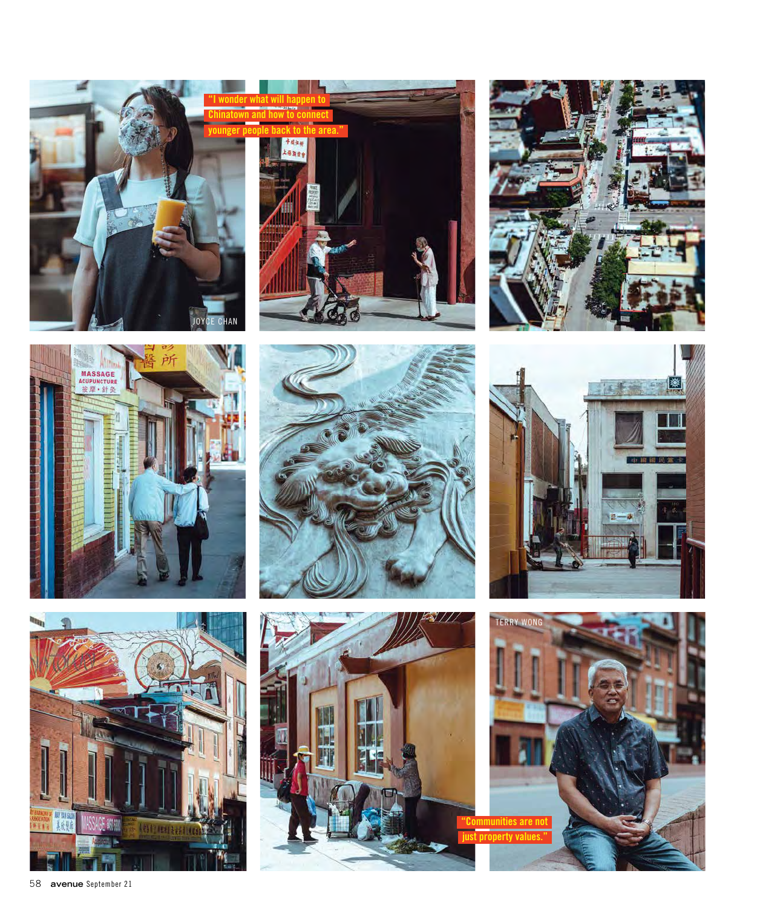















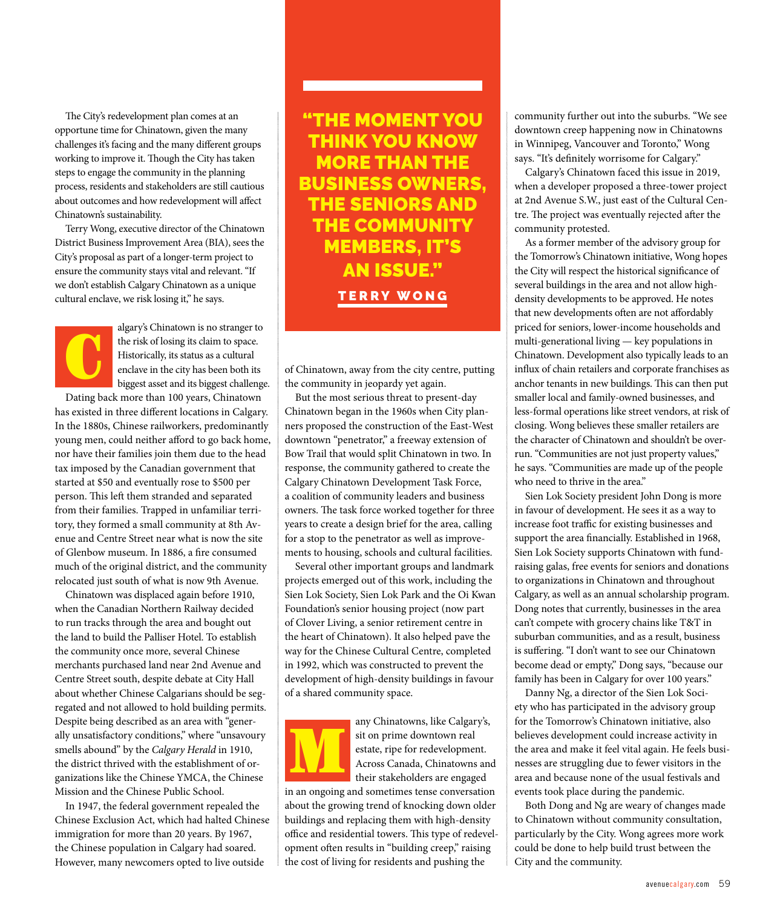The City's redevelopment plan comes at an opportune time for Chinatown, given the many challenges it's facing and the many different groups working to improve it. Though the City has taken steps to engage the community in the planning process, residents and stakeholders are still cautious about outcomes and how redevelopment will affect Chinatown's sustainability.

Terry Wong, executive director of the Chinatown District Business Improvement Area (BIA), sees the City's proposal as part of a longer-term project to ensure the community stays vital and relevant. "If we don't establish Calgary Chinatown as a unique cultural enclave, we risk losing it," he says.

C

algary's Chinatown is no stranger to the risk of losing its claim to space. Historically, its status as a cultural enclave in the city has been both its biggest asset and its biggest challenge.

Dating back more than 100 years, Chinatown has existed in three different locations in Calgary. In the 1880s, Chinese railworkers, predominantly young men, could neither afford to go back home, nor have their families join them due to the head tax imposed by the Canadian government that started at \$50 and eventually rose to \$500 per person. This left them stranded and separated from their families. Trapped in unfamiliar territory, they formed a small community at 8th Avenue and Centre Street near what is now the site of Glenbow museum. In 1886, a fire consumed much of the original district, and the community relocated just south of what is now 9th Avenue.

Chinatown was displaced again before 1910, when the Canadian Northern Railway decided to run tracks through the area and bought out the land to build the Palliser Hotel. To establish the community once more, several Chinese merchants purchased land near 2nd Avenue and Centre Street south, despite debate at City Hall about whether Chinese Calgarians should be segregated and not allowed to hold building permits. Despite being described as an area with "generally unsatisfactory conditions," where "unsavoury smells abound" by the *Calgary Herald* in 1910, the district thrived with the establishment of organizations like the Chinese YMCA, the Chinese Mission and the Chinese Public School.

In 1947, the federal government repealed the Chinese Exclusion Act, which had halted Chinese immigration for more than 20 years. By 1967, the Chinese population in Calgary had soared. However, many newcomers opted to live outside

"THE MOMENT YOU THINK YOU KNOW MORE THAN THE BUSINESS OWNERS, THE SENIORS AND THE COMMUNITY MEMBERS, IT'S AN ISSUE." TERRY WONG

of Chinatown, away from the city centre, putting the community in jeopardy yet again.

But the most serious threat to present-day Chinatown began in the 1960s when City planners proposed the construction of the East-West downtown "penetrator," a freeway extension of Bow Trail that would split Chinatown in two. In response, the community gathered to create the Calgary Chinatown Development Task Force, a coalition of community leaders and business owners. The task force worked together for three years to create a design brief for the area, calling for a stop to the penetrator as well as improvements to housing, schools and cultural facilities.

Several other important groups and landmark projects emerged out of this work, including the Sien Lok Society, Sien Lok Park and the Oi Kwan Foundation's senior housing project (now part of Clover Living, a senior retirement centre in the heart of Chinatown). It also helped pave the way for the Chinese Cultural Centre, completed in 1992, which was constructed to prevent the development of high-density buildings in favour of a shared community space.

any Chinatowns, like Calgary's, sit on prime downtown real estate, ripe for redevelopment. Across Canada, Chinatowns and their stakeholders are engaged M

in an ongoing and sometimes tense conversation about the growing trend of knocking down older buildings and replacing them with high-density office and residential towers. This type of redevelopment often results in "building creep," raising the cost of living for residents and pushing the

community further out into the suburbs. "We see downtown creep happening now in Chinatowns in Winnipeg, Vancouver and Toronto," Wong says. "It's definitely worrisome for Calgary."

Calgary's Chinatown faced this issue in 2019, when a developer proposed a three-tower project at 2nd Avenue S.W., just east of the Cultural Centre. The project was eventually rejected after the community protested.

As a former member of the advisory group for the Tomorrow's Chinatown initiative, Wong hopes the City will respect the historical significance of several buildings in the area and not allow highdensity developments to be approved. He notes that new developments often are not affordably priced for seniors, lower-income households and multi-generational living — key populations in Chinatown. Development also typically leads to an influx of chain retailers and corporate franchises as anchor tenants in new buildings. This can then put smaller local and family-owned businesses, and less-formal operations like street vendors, at risk of closing. Wong believes these smaller retailers are the character of Chinatown and shouldn't be overrun. "Communities are not just property values," he says. "Communities are made up of the people who need to thrive in the area."

Sien Lok Society president John Dong is more in favour of development. He sees it as a way to increase foot traffic for existing businesses and support the area financially. Established in 1968, Sien Lok Society supports Chinatown with fundraising galas, free events for seniors and donations to organizations in Chinatown and throughout Calgary, as well as an annual scholarship program. Dong notes that currently, businesses in the area can't compete with grocery chains like T&T in suburban communities, and as a result, business is suffering. "I don't want to see our Chinatown become dead or empty," Dong says, "because our family has been in Calgary for over 100 years."

Danny Ng, a director of the Sien Lok Society who has participated in the advisory group for the Tomorrow's Chinatown initiative, also believes development could increase activity in the area and make it feel vital again. He feels businesses are struggling due to fewer visitors in the area and because none of the usual festivals and events took place during the pandemic.

Both Dong and Ng are weary of changes made to Chinatown without community consultation, particularly by the City. Wong agrees more work could be done to help build trust between the City and the community.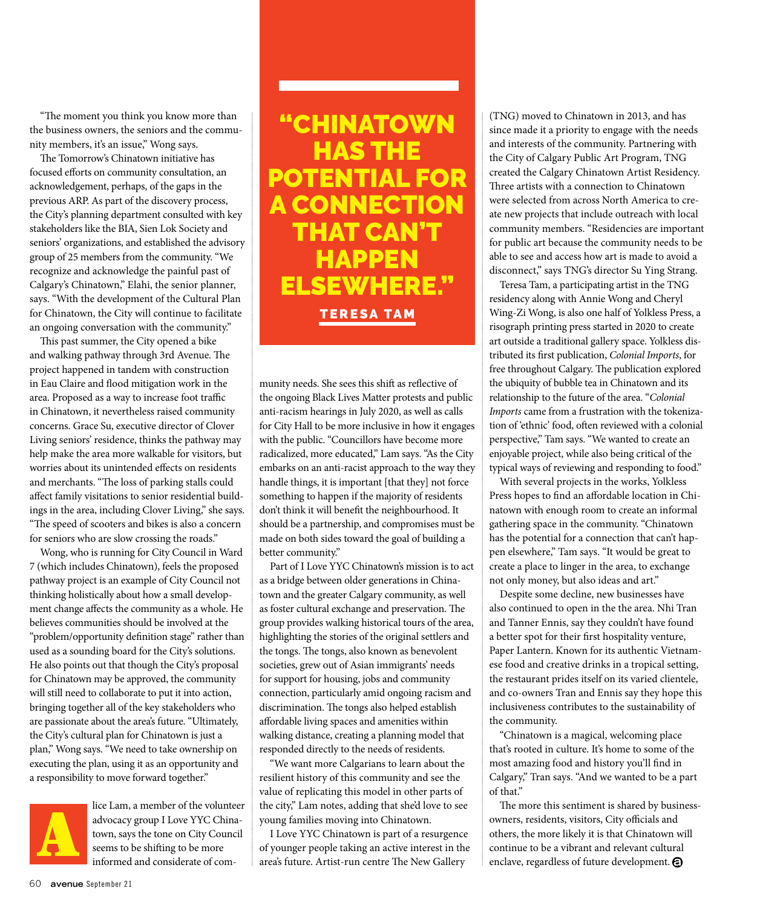"The moment you think you know more than the business owners, the seniors and the community members, it's an issue," Wong says.

The Tomorrow's Chinatown initiative has focused efforts on community consultation, an acknowledgement, perhaps, of the gaps in the previous ARP. As part of the discovery process, the City's planning department consulted with key stakeholders like the BIA, Sien Lok Society and seniors' organizations, and established the advisory group of 25 members from the community. "We recognize and acknowledge the painful past of Calgary's Chinatown," Elahi, the senior planner, says. "With the development of the Cultural Plan for Chinatown, the City will continue to facilitate an ongoing conversation with the community."

This past summer, the City opened a bike and walking pathway through 3rd Avenue. The project happened in tandem with construction in Eau Claire and flood mitigation work in the area. Proposed as a way to increase foot traffic in Chinatown, it nevertheless raised community concerns. Grace Su, executive director of Clover Living seniors' residence, thinks the pathway may help make the area more walkable for visitors, but worries about its unintended effects on residents and merchants. "The loss of parking stalls could affect family visitations to senior residential buildings in the area, including Clover Living," she says. "The speed of scooters and bikes is also a concern for seniors who are slow crossing the roads."

Wong, who is running for City Council in Ward 7 (which includes Chinatown), feels the proposed pathway project is an example of City Council not thinking holistically about how a small development change affects the community as a whole. He believes communities should be involved at the "problem/opportunity definition stage" rather than used as a sounding board for the City's solutions. He also points out that though the City's proposal for Chinatown may be approved, the community will still need to collaborate to put it into action, bringing together all of the key stakeholders who are passionate about the area's future. "Ultimately, the City's cultural plan for Chinatown is just a plan," Wong says. "We need to take ownership on executing the plan, using it as an opportunity and a responsibility to move forward together."



lice Lam, a member of the volunteer advocacy group I Love YYC Chinatown, says the tone on City Council seems to be shifting to be more informed and considerate of com-

"CHINATOWN HAS THE POTENTIAL FOR A CONNECTION THAT CAN'T **HAPPEN** ELSEWHERE." TERESA TAM

munity needs. She sees this shift as reflective of the ongoing Black Lives Matter protests and public anti-racism hearings in July 2020, as well as calls for City Hall to be more inclusive in how it engages with the public. "Councillors have become more radicalized, more educated," Lam says. "As the City embarks on an anti-racist approach to the way they handle things, it is important [that they] not force something to happen if the majority of residents don't think it will benefit the neighbourhood. It should be a partnership, and compromises must be made on both sides toward the goal of building a better community."

Part of I Love YYC Chinatown's mission is to act as a bridge between older generations in Chinatown and the greater Calgary community, as well as foster cultural exchange and preservation. The group provides walking historical tours of the area, highlighting the stories of the original settlers and the tongs. The tongs, also known as benevolent societies, grew out of Asian immigrants' needs for support for housing, jobs and community connection, particularly amid ongoing racism and discrimination. The tongs also helped establish affordable living spaces and amenities within walking distance, creating a planning model that responded directly to the needs of residents.

"We want more Calgarians to learn about the resilient history of this community and see the value of replicating this model in other parts of the city," Lam notes, adding that she'd love to see young families moving into Chinatown.

I Love YYC Chinatown is part of a resurgence of younger people taking an active interest in the area's future. Artist-run centre The New Gallery

(TNG) moved to Chinatown in 2013, and has since made it a priority to engage with the needs and interests of the community. Partnering with the City of Calgary Public Art Program, TNG created the Calgary Chinatown Artist Residency. Three artists with a connection to Chinatown were selected from across North America to create new projects that include outreach with local community members. "Residencies are important for public art because the community needs to be able to see and access how art is made to avoid a disconnect," says TNG's director Su Ying Strang.

Teresa Tam, a participating artist in the TNG residency along with Annie Wong and Cheryl Wing-Zi Wong, is also one half of Yolkless Press, a risograph printing press started in 2020 to create art outside a traditional gallery space. Yolkless distributed its first publication, *Colonial Imports*, for free throughout Calgary. The publication explored the ubiquity of bubble tea in Chinatown and its relationship to the future of the area. "*Colonial Imports* came from a frustration with the tokenization of 'ethnic' food, often reviewed with a colonial perspective," Tam says. "We wanted to create an enjoyable project, while also being critical of the typical ways of reviewing and responding to food."

With several projects in the works, Yolkless Press hopes to find an affordable location in Chinatown with enough room to create an informal gathering space in the community. "Chinatown has the potential for a connection that can't happen elsewhere," Tam says. "It would be great to create a place to linger in the area, to exchange not only money, but also ideas and art."

Despite some decline, new businesses have also continued to open in the the area. Nhi Tran and Tanner Ennis, say they couldn't have found a better spot for their first hospitality venture, Paper Lantern. Known for its authentic Vietnamese food and creative drinks in a tropical setting, the restaurant prides itself on its varied clientele, and co-owners Tran and Ennis say they hope this inclusiveness contributes to the sustainability of the community.

"Chinatown is a magical, welcoming place that's rooted in culture. It's home to some of the most amazing food and history you'll find in Calgary," Tran says. "And we wanted to be a part of that."

The more this sentiment is shared by businessowners, residents, visitors, City officials and others, the more likely it is that Chinatown will advocacy group I Love YYC China-<br>town, says the tone on City Council<br>informed and considerate of com-<br>informed and considerate of com-<br>and  $\bullet$  continue to be a vibrant and relevant cultural<br>informed and considerate of com enclave, regardless of future development.